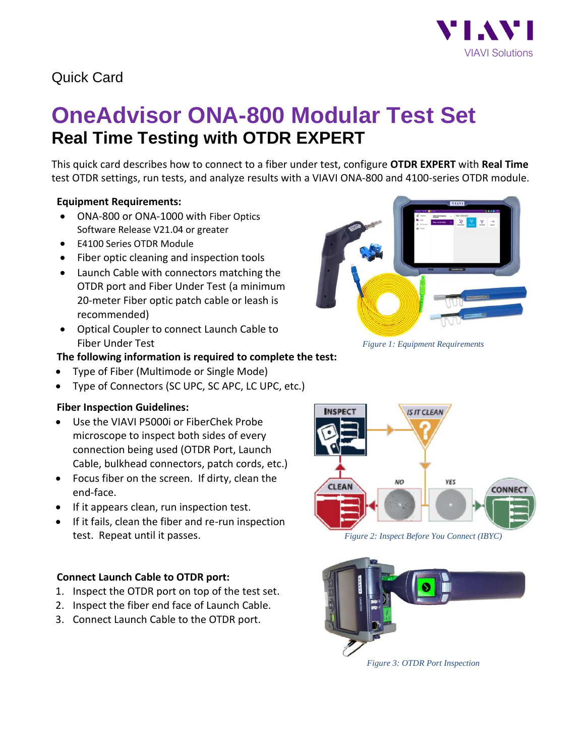

## Quick Card

# **OneAdvisor ONA-800 Modular Test Set Real Time Testing with OTDR EXPERT**

This quick card describes how to connect to a fiber under test, configure **OTDR EXPERT** with **Real Time** test OTDR settings, run tests, and analyze results with a VIAVI ONA-800 and 4100-series OTDR module.

### **Equipment Requirements:**

- ONA-800 or ONA-1000 with Fiber Optics Software Release V21.04 or greater
- E4100 Series OTDR Module
- Fiber optic cleaning and inspection tools
- Launch Cable with connectors matching the OTDR port and Fiber Under Test (a minimum 20-meter Fiber optic patch cable or leash is recommended)
- Optical Coupler to connect Launch Cable to Fiber Under Test *Figure 1: Equipment Requirements*

#### **The following information is required to complete the test:**

- Type of Fiber (Multimode or Single Mode)
- Type of Connectors (SC UPC, SC APC, LC UPC, etc.)

### **Fiber Inspection Guidelines:**

- Use the VIAVI P5000i or FiberChek Probe microscope to inspect both sides of every connection being used (OTDR Port, Launch Cable, bulkhead connectors, patch cords, etc.)
- Focus fiber on the screen. If dirty, clean the end-face.
- If it appears clean, run inspection test.
- If it fails, clean the fiber and re-run inspection test. Repeat until it passes. *Figure 2: Inspect Before You Connect (IBYC)*

#### **Connect Launch Cable to OTDR port:**

- 1. Inspect the OTDR port on top of the test set.
- 2. Inspect the fiber end face of Launch Cable.
- 3. Connect Launch Cable to the OTDR port.







*Figure 3: OTDR Port Inspection*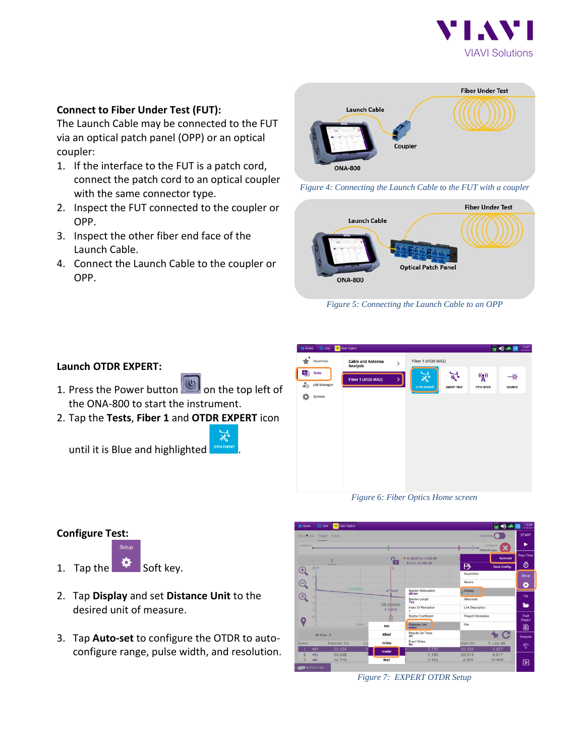

#### **Connect to Fiber Under Test (FUT):**

The Launch Cable may be connected to the FUT via an optical patch panel (OPP) or an optical coupler:

- 1. If the interface to the FUT is a patch cord, connect the patch cord to an optical coupler with the same connector type.
- 2. Inspect the FUT connected to the coupler or OPP.
- 3. Inspect the other fiber end face of the Launch Cable.
- 4. Connect the Launch Cable to the coupler or OPP.







*Figure 5: Connecting the Launch Cable to an OPP*

| $\sum$ CM<br><b>合 Home</b><br>٠<br>Favorites  | <b>Exit</b> Fiber Optics<br><b>Cable and Antenna</b><br><b>Analysis</b> | $\mathcal{P}$ | $\bigcirc$ $\bigcirc$ $\bigcirc$ $\bigcirc$ $\bigcirc$ $\bigcirc$ $\bigcirc$ $\bigcirc$ $\bigcirc$ $\bigcirc$ $\bigcirc$ $\bigcirc$ $\bigcirc$ $\bigcirc$ $\bigcirc$ $\bigcirc$ $\bigcirc$ $\bigcirc$ $\bigcirc$ $\bigcirc$ $\bigcirc$ $\bigcirc$ $\bigcirc$ $\bigcirc$ $\bigcirc$ $\bigcirc$ $\bigcirc$ $\bigcirc$ $\bigcirc$ $\bigcirc$ $\bigcirc$ $\bigcirc$ $\bigcirc$ $\bigcirc$ $\bigcirc$ $\bigcirc$ $\bigcirc$<br>Fiber 1 (4126 MA2) |                         |                                           |              |
|-----------------------------------------------|-------------------------------------------------------------------------|---------------|----------------------------------------------------------------------------------------------------------------------------------------------------------------------------------------------------------------------------------------------------------------------------------------------------------------------------------------------------------------------------------------------------------------------------------------------|-------------------------|-------------------------------------------|--------------|
| ≁h<br><b>Tests</b><br>å<br><b>Job Manager</b> | Fiber 1 (4126 MA2)                                                      | >             | ⋇<br><b>OTDR EXPERT</b>                                                                                                                                                                                                                                                                                                                                                                                                                      | মু<br><b>SMART TEST</b> | $\binom{(\gamma)}{A}$<br><b>FTTA OTDR</b> | 一茶<br>SOURCE |
| ٠<br>System                                   |                                                                         |               |                                                                                                                                                                                                                                                                                                                                                                                                                                              |                         |                                           |              |
|                                               |                                                                         |               |                                                                                                                                                                                                                                                                                                                                                                                                                                              |                         |                                           |              |
|                                               |                                                                         |               |                                                                                                                                                                                                                                                                                                                                                                                                                                              |                         |                                           |              |
|                                               |                                                                         |               |                                                                                                                                                                                                                                                                                                                                                                                                                                              |                         |                                           |              |

*Figure 6: Fiber Optics Home screen*



#### *Figure 7: EXPERT OTDR Setup*

#### **Launch OTDR EXPERT:**

- 1. Press the Power button  $\Box$  on the top left of the ONA-800 to start the instrument.
- 2. Tap the **Tests**, **Fiber 1** and **OTDR EXPERT** icon



until it is Blue and highlighted .

**Configure Test:**

1. Tap the  $\frac{1}{2}$  Soft key.

- 2. Tap **Display** and set **Distance Unit** to the desired unit of measure.
- 3. Tap **Auto-set** to configure the OTDR to autoconfigure range, pulse width, and resolution.